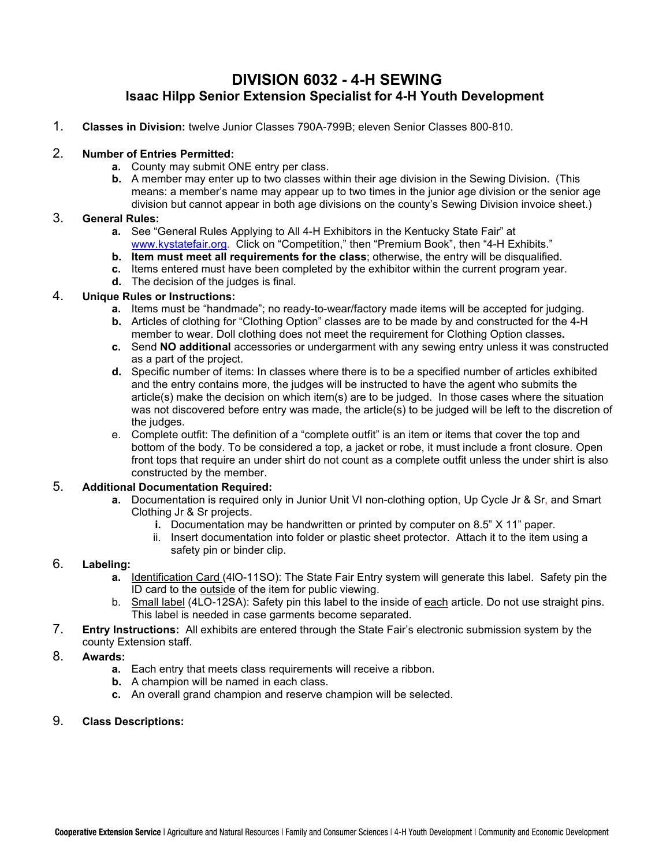## **DIVISION 6032 - 4-H SEWING Isaac Hilpp Senior Extension Specialist for 4-H Youth Development**

1. **Classes in Division:** twelve Junior Classes 790A-799B; eleven Senior Classes 800-810.

## 2. **Number of Entries Permitted:**

- **a.** County may submit ONE entry per class.
- **b.** A member may enter up to two classes within their age division in the Sewing Division. (This means: a member's name may appear up to two times in the junior age division or the senior age division but cannot appear in both age divisions on the county's Sewing Division invoice sheet.)

## 3. **General Rules:**

- **a.** See "General Rules Applying to All 4-H Exhibitors in the Kentucky State Fair" at [www.kystatefair.org.](http://www.kystatefair.org/) Click on "Competition," then "Premium Book", then "4-H Exhibits."
- **b. Item must meet all requirements for the class**; otherwise, the entry will be disqualified.
- **c.** Items entered must have been completed by the exhibitor within the current program year.
- **d.** The decision of the judges is final.

## 4. **Unique Rules or Instructions:**

- **a.** Items must be "handmade"; no ready-to-wear/factory made items will be accepted for judging.
- **b.** Articles of clothing for "Clothing Option" classes are to be made by and constructed for the 4-H member to wear. Doll clothing does not meet the requirement for Clothing Option classes**.**
- **c.** Send **NO additional** accessories or undergarment with any sewing entry unless it was constructed as a part of the project.
- **d.** Specific number of items: In classes where there is to be a specified number of articles exhibited and the entry contains more, the judges will be instructed to have the agent who submits the article(s) make the decision on which item(s) are to be judged. In those cases where the situation was not discovered before entry was made, the article(s) to be judged will be left to the discretion of the judges.
- e. Complete outfit: The definition of a "complete outfit" is an item or items that cover the top and bottom of the body. To be considered a top, a jacket or robe, it must include a front closure. Open front tops that require an under shirt do not count as a complete outfit unless the under shirt is also constructed by the member.

## 5. **Additional Documentation Required:**

- **a.** Documentation is required only in Junior Unit VI non-clothing option, Up Cycle Jr & Sr, and Smart Clothing Jr & Sr projects.
	- **i.** Documentation may be handwritten or printed by computer on 8.5" X 11" paper.
	- ii. Insert documentation into folder or plastic sheet protector. Attach it to the item using a safety pin or binder clip.

## 6. **Labeling:**

- **a.** Identification Card (4lO-11SO): The State Fair Entry system will generate this label. Safety pin the ID card to the outside of the item for public viewing.
- b. Small label (4LO-12SA): Safety pin this label to the inside of each article. Do not use straight pins. This label is needed in case garments become separated.
- 7. **Entry Instructions:** All exhibits are entered through the State Fair's electronic submission system by the county Extension staff.

## 8. **Awards:**

- **a.** Each entry that meets class requirements will receive a ribbon.
- **b.** A champion will be named in each class.
- **c.** An overall grand champion and reserve champion will be selected.

## 9. **Class Descriptions:**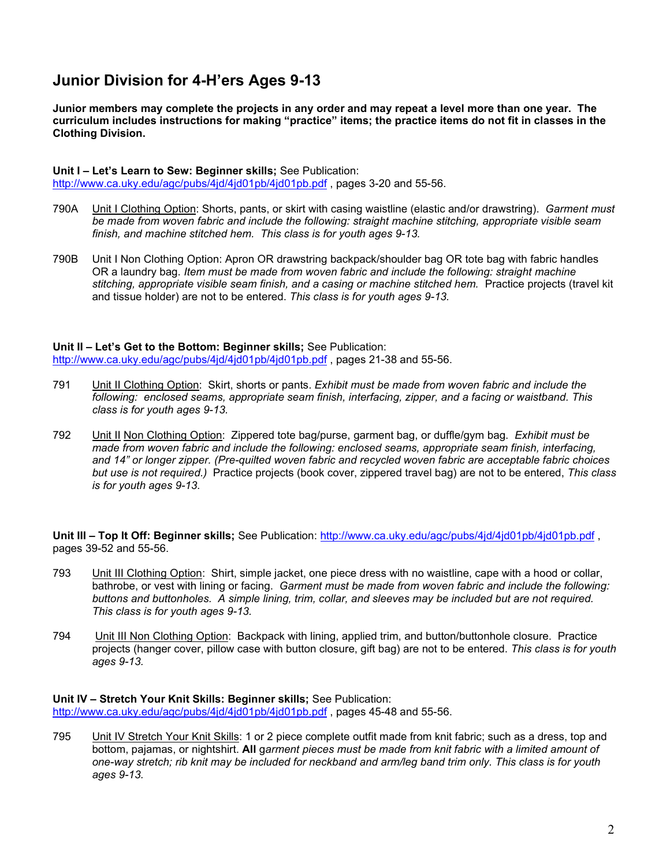## **Junior Division for 4-H'ers Ages 9-13**

**Junior members may complete the projects in any order and may repeat a level more than one year. The curriculum includes instructions for making "practice" items; the practice items do not fit in classes in the Clothing Division.**

### **Unit I – Let's Learn to Sew: Beginner skills;** See Publication:

<http://www.ca.uky.edu/agc/pubs/4jd/4jd01pb/4jd01pb.pdf>, pages 3-20 and 55-56.

- 790A Unit I Clothing Option: Shorts, pants, or skirt with casing waistline (elastic and/or drawstring). *Garment must be made from woven fabric and include the following: straight machine stitching, appropriate visible seam finish, and machine stitched hem. This class is for youth ages 9-13.*
- 790B Unit I Non Clothing Option: Apron OR drawstring backpack/shoulder bag OR tote bag with fabric handles OR a laundry bag. *Item must be made from woven fabric and include the following: straight machine*  stitching, appropriate visible seam finish, and a casing or machine stitched hem. Practice projects (travel kit and tissue holder) are not to be entered. *This class is for youth ages 9-13.*

**Unit II – Let's Get to the Bottom: Beginner skills;** See Publication: <http://www.ca.uky.edu/agc/pubs/4jd/4jd01pb/4jd01pb.pdf> , pages 21-38 and 55-56.

- 791 Unit II Clothing Option: Skirt, shorts or pants. *Exhibit must be made from woven fabric and include the following: enclosed seams, appropriate seam finish, interfacing, zipper, and a facing or waistband. This class is for youth ages 9-13.*
- 792 Unit II Non Clothing Option: Zippered tote bag/purse, garment bag, or duffle/gym bag. *Exhibit must be made from woven fabric and include the following: enclosed seams, appropriate seam finish, interfacing, and 14" or longer zipper. (Pre-quilted woven fabric and recycled woven fabric are acceptable fabric choices but use is not required.)* Practice projects (book cover, zippered travel bag) are not to be entered, *This class is for youth ages 9-13.*

**Unit III – Top It Off: Beginner skills;** See Publication:<http://www.ca.uky.edu/agc/pubs/4jd/4jd01pb/4jd01pb.pdf> , pages 39-52 and 55-56.

- 793 Unit III Clothing Option: Shirt, simple jacket, one piece dress with no waistline, cape with a hood or collar, bathrobe, or vest with lining or facing. *Garment must be made from woven fabric and include the following: buttons and buttonholes. A simple lining, trim, collar, and sleeves may be included but are not required. This class is for youth ages 9-13.*
- 794 Unit III Non Clothing Option: Backpack with lining, applied trim, and button/buttonhole closure. Practice projects (hanger cover, pillow case with button closure, gift bag) are not to be entered. *This class is for youth ages 9-13.*

**Unit IV – Stretch Your Knit Skills: Beginner skills;** See Publication: <http://www.ca.uky.edu/agc/pubs/4jd/4jd01pb/4jd01pb.pdf> , pages 45-48 and 55-56.

795 Unit IV Stretch Your Knit Skills: 1 or 2 piece complete outfit made from knit fabric; such as a dress, top and bottom, pajamas, or nightshirt. **All** g*arment pieces must be made from knit fabric with a limited amount of one-way stretch; rib knit may be included for neckband and arm/leg band trim only. This class is for youth ages 9-13.*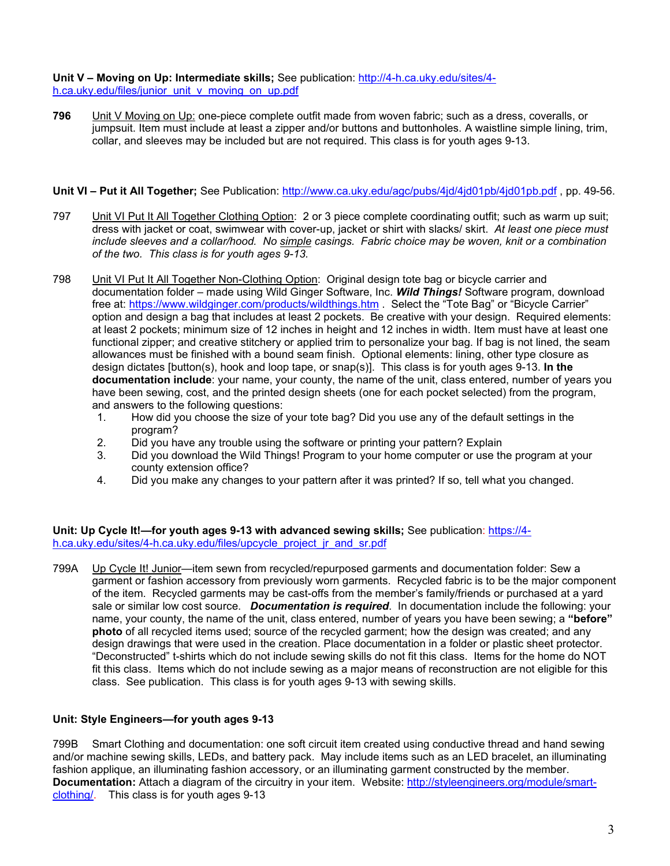**Unit V – Moving on Up: Intermediate skills;** See publication: [http://4-h.ca.uky.edu/sites/4](http://4-h.ca.uky.edu/sites/4-h.ca.uky.edu/files/junior_unit_v_moving_on_up.pdf) [h.ca.uky.edu/files/junior\\_unit\\_v\\_moving\\_on\\_up.pdf](http://4-h.ca.uky.edu/sites/4-h.ca.uky.edu/files/junior_unit_v_moving_on_up.pdf)

**796** Unit V Moving on Up: one-piece complete outfit made from woven fabric; such as a dress, coveralls, or jumpsuit. Item must include at least a zipper and/or buttons and buttonholes. A waistline simple lining, trim, collar, and sleeves may be included but are not required. This class is for youth ages 9-13.

### **Unit VI – Put it All Together;** See Publication:<http://www.ca.uky.edu/agc/pubs/4jd/4jd01pb/4jd01pb.pdf> , pp. 49-56.

- 797 Unit VI Put It All Together Clothing Option: 2 or 3 piece complete coordinating outfit; such as warm up suit; dress with jacket or coat, swimwear with cover-up, jacket or shirt with slacks/ skirt. *At least one piece must include sleeves and a collar/hood. No simple casings. Fabric choice may be woven, knit or a combination of the two. This class is for youth ages 9-13.*
- 798 Unit VI Put It All Together Non-Clothing Option: Original design tote bag or bicycle carrier and documentation folder – made using Wild Ginger Software, Inc. *Wild Things!* Software program, download free at: <https://www.wildginger.com/products/wildthings.htm> . Select the "Tote Bag" or "Bicycle Carrier" option and design a bag that includes at least 2 pockets. Be creative with your design. Required elements: at least 2 pockets; minimum size of 12 inches in height and 12 inches in width. Item must have at least one functional zipper; and creative stitchery or applied trim to personalize your bag. If bag is not lined, the seam allowances must be finished with a bound seam finish. Optional elements: lining, other type closure as design dictates [button(s), hook and loop tape, or snap(s)]. This class is for youth ages 9-13. **In the documentation include**: your name, your county, the name of the unit, class entered, number of years you have been sewing, cost, and the printed design sheets (one for each pocket selected) from the program, and answers to the following questions:
	- 1. How did you choose the size of your tote bag? Did you use any of the default settings in the program?
	- 2. Did you have any trouble using the software or printing your pattern? Explain
	- 3. Did you download the Wild Things! Program to your home computer or use the program at your county extension office?
	- 4. Did you make any changes to your pattern after it was printed? If so, tell what you changed.

**Unit: Up Cycle It!—for youth ages 9-13 with advanced sewing skills;** See publication: [https://4](https://4-h.ca.uky.edu/sites/4-h.ca.uky.edu/files/upcycle_project_jr_and_sr.pdf) h.ca.uky.edu/sites/4-h.ca.uky.edu/files/upcycle\_project\_ir\_and\_sr.pdf

799A Up Cycle It! Junior—item sewn from recycled/repurposed garments and documentation folder: Sew a garment or fashion accessory from previously worn garments. Recycled fabric is to be the major component of the item. Recycled garments may be cast-offs from the member's family/friends or purchased at a yard sale or similar low cost source. *Documentation is required*. In documentation include the following: your name, your county, the name of the unit, class entered, number of years you have been sewing; a **"before" photo** of all recycled items used; source of the recycled garment; how the design was created; and any design drawings that were used in the creation. Place documentation in a folder or plastic sheet protector. "Deconstructed" t-shirts which do not include sewing skills do not fit this class. Items for the home do NOT fit this class. Items which do not include sewing as a major means of reconstruction are not eligible for this class. See publication. This class is for youth ages 9-13 with sewing skills.

### **Unit: Style Engineers—for youth ages 9-13**

799B Smart Clothing and documentation: one soft circuit item created using conductive thread and hand sewing and/or machine sewing skills, LEDs, and battery pack. May include items such as an LED bracelet, an illuminating fashion applique, an illuminating fashion accessory, or an illuminating garment constructed by the member. **Documentation:** Attach a diagram of the circuitry in your item. Website: [http://styleengineers.org/module/smart](http://styleengineers.org/module/smart-clothing/)[clothing/.](http://styleengineers.org/module/smart-clothing/) This class is for youth ages 9-13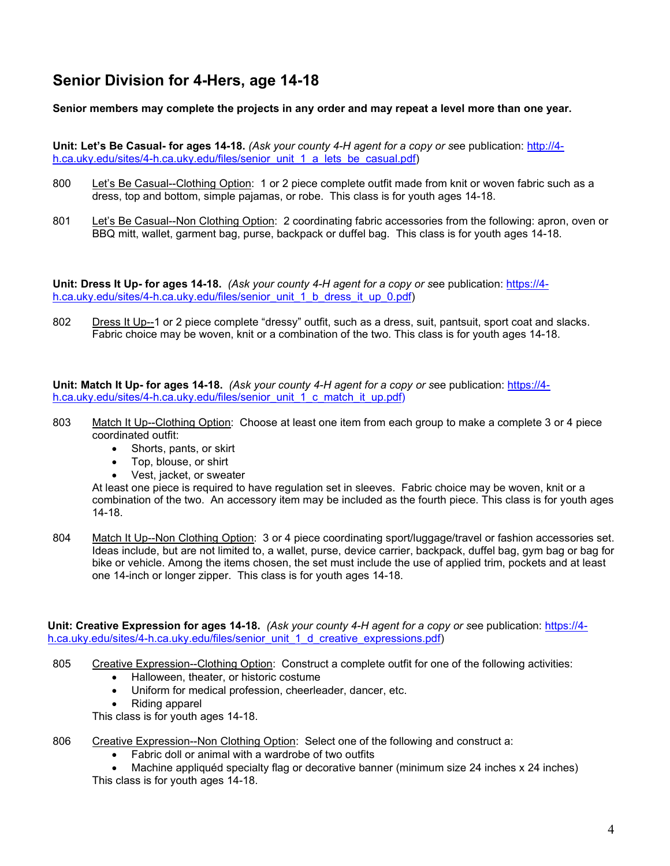# **Senior Division for 4-Hers, age 14-18**

## **Senior members may complete the projects in any order and may repeat a level more than one year.**

**Unit: Let's Be Casual- for ages 14-18.** *(Ask your county 4-H agent for a copy or s*ee publication: [http://4](http://4-h.ca.uky.edu/sites/4-h.ca.uky.edu/files/senior_unit_1_a_lets_be_casual.pdf) [h.ca.uky.edu/sites/4-h.ca.uky.edu/files/senior\\_unit\\_1\\_a\\_lets\\_be\\_casual.pdf\)](http://4-h.ca.uky.edu/sites/4-h.ca.uky.edu/files/senior_unit_1_a_lets_be_casual.pdf)

- 800 Let's Be Casual--Clothing Option: 1 or 2 piece complete outfit made from knit or woven fabric such as a dress, top and bottom, simple pajamas, or robe. This class is for youth ages 14-18.
- 801 Let's Be Casual--Non Clothing Option: 2 coordinating fabric accessories from the following: apron, oven or BBQ mitt, wallet, garment bag, purse, backpack or duffel bag. This class is for youth ages 14-18.

**Unit: Dress It Up- for ages 14-18.** *(Ask your county 4-H agent for a copy or s*ee publication: [https://4](https://4-h.ca.uky.edu/sites/4-h.ca.uky.edu/files/senior_unit_1_b_dress_it_up_0.pdf) [h.ca.uky.edu/sites/4-h.ca.uky.edu/files/senior\\_unit\\_1\\_b\\_dress\\_it\\_up\\_0.pdf\)](https://4-h.ca.uky.edu/sites/4-h.ca.uky.edu/files/senior_unit_1_b_dress_it_up_0.pdf)

802 Dress It Up--1 or 2 piece complete "dressy" outfit, such as a dress, suit, pantsuit, sport coat and slacks. Fabric choice may be woven, knit or a combination of the two. This class is for youth ages 14-18.

**Unit: Match It Up- for ages 14-18.** *(Ask your county 4-H agent for a copy or s*ee publication: [https://4](https://4-h.ca.uky.edu/sites/4-h.ca.uky.edu/files/senior_unit_1_c_match_it_up.pdf) [h.ca.uky.edu/sites/4-h.ca.uky.edu/files/senior\\_unit\\_1\\_c\\_match\\_it\\_up.pdf\)](https://4-h.ca.uky.edu/sites/4-h.ca.uky.edu/files/senior_unit_1_c_match_it_up.pdf)

- 803 Match It Up--Clothing Option: Choose at least one item from each group to make a complete 3 or 4 piece coordinated outfit:
	- Shorts, pants, or skirt
	- Top, blouse, or shirt
	- Vest, jacket, or sweater

At least one piece is required to have regulation set in sleeves. Fabric choice may be woven, knit or a combination of the two. An accessory item may be included as the fourth piece. This class is for youth ages 14-18.

804 Match It Up--Non Clothing Option: 3 or 4 piece coordinating sport/luggage/travel or fashion accessories set. Ideas include, but are not limited to, a wallet, purse, device carrier, backpack, duffel bag, gym bag or bag for bike or vehicle. Among the items chosen, the set must include the use of applied trim, pockets and at least one 14-inch or longer zipper. This class is for youth ages 14-18.

**Unit: Creative Expression for ages 14-18.** *(Ask your county 4-H agent for a copy or s*ee publication: [https://4](https://4-h.ca.uky.edu/sites/4-h.ca.uky.edu/files/senior_unit_1_d_creative_expressions.pdf) [h.ca.uky.edu/sites/4-h.ca.uky.edu/files/senior\\_unit\\_1\\_d\\_creative\\_expressions.pdf\)](https://4-h.ca.uky.edu/sites/4-h.ca.uky.edu/files/senior_unit_1_d_creative_expressions.pdf)

- 805 Creative Expression--Clothing Option: Construct a complete outfit for one of the following activities:
	- Halloween, theater, or historic costume
	- Uniform for medical profession, cheerleader, dancer, etc.
	- Riding apparel

This class is for youth ages 14-18.

- 806 Creative Expression--Non Clothing Option: Select one of the following and construct a:
	- Fabric doll or animal with a wardrobe of two outfits

Machine appliquéd specialty flag or decorative banner (minimum size 24 inches x 24 inches) This class is for youth ages 14-18.